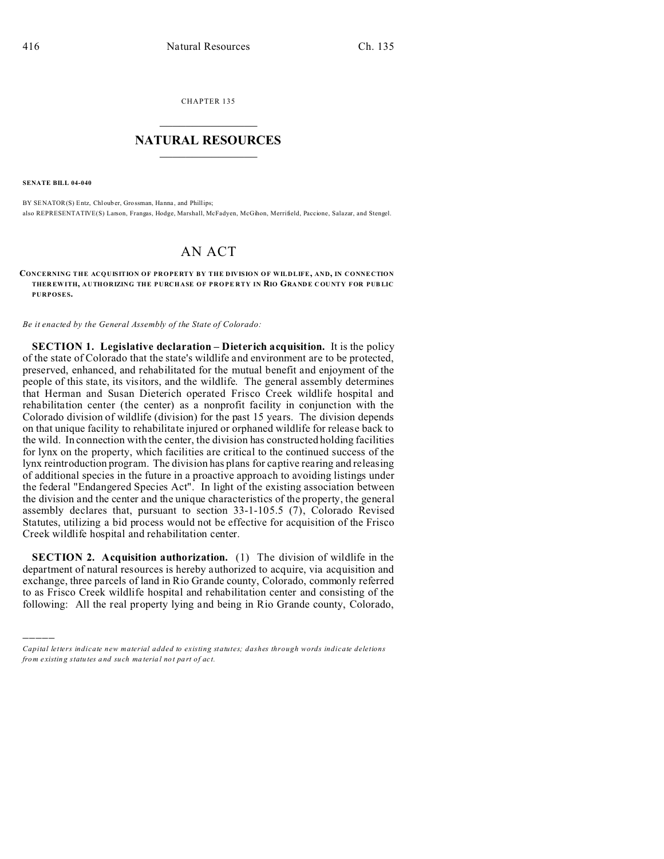CHAPTER 135  $\overline{\phantom{a}}$  , where  $\overline{\phantom{a}}$ 

## **NATURAL RESOURCES**  $\frac{1}{\sqrt{2}}$  ,  $\frac{1}{\sqrt{2}}$  ,  $\frac{1}{\sqrt{2}}$  ,  $\frac{1}{\sqrt{2}}$  ,  $\frac{1}{\sqrt{2}}$  ,  $\frac{1}{\sqrt{2}}$

**SENATE BILL 04-040**

)))))

BY SENATOR(S) Entz, Chlouber, Grossman, Hanna, and Phillips; also REPRESENTATIVE(S) Larson, Frangas, Hodge, Marshall, McFadyen, McGihon, Merrifield, Paccione, Salazar, and Stengel.

## AN ACT

**CONCERNING THE ACQUISITION OF PROPERTY BY THE DIVISION OF WILDLIFE, AND, IN CONNECTION THER EWITH, AUTHORIZING THE PURCHASE OF PROPE RTY IN RIO GRANDE COU NTY FOR PUB LIC PURPOSES.**

*Be it enacted by the General Assembly of the State of Colorado:*

**SECTION 1. Legislative declaration – Dieterich acquisition.** It is the policy of the state of Colorado that the state's wildlife and environment are to be protected, preserved, enhanced, and rehabilitated for the mutual benefit and enjoyment of the people of this state, its visitors, and the wildlife. The general assembly determines that Herman and Susan Dieterich operated Frisco Creek wildlife hospital and rehabilitation center (the center) as a nonprofit facility in conjunction with the Colorado division of wildlife (division) for the past 15 years. The division depends on that unique facility to rehabilitate injured or orphaned wildlife for release back to the wild. In connection with the center, the division has constructed holding facilities for lynx on the property, which facilities are critical to the continued success of the lynx reintroduction program. The division has plans for captive rearing and releasing of additional species in the future in a proactive approach to avoiding listings under the federal "Endangered Species Act". In light of the existing association between the division and the center and the unique characteristics of the property, the general assembly declares that, pursuant to section 33-1-105.5 (7), Colorado Revised Statutes, utilizing a bid process would not be effective for acquisition of the Frisco Creek wildlife hospital and rehabilitation center.

**SECTION 2. Acquisition authorization.** (1) The division of wildlife in the department of natural resources is hereby authorized to acquire, via acquisition and exchange, three parcels of land in Rio Grande county, Colorado, commonly referred to as Frisco Creek wildlife hospital and rehabilitation center and consisting of the following: All the real property lying and being in Rio Grande county, Colorado,

*Capital letters indicate new material added to existing statutes; dashes through words indicate deletions from e xistin g statu tes a nd such ma teria l no t pa rt of ac t.*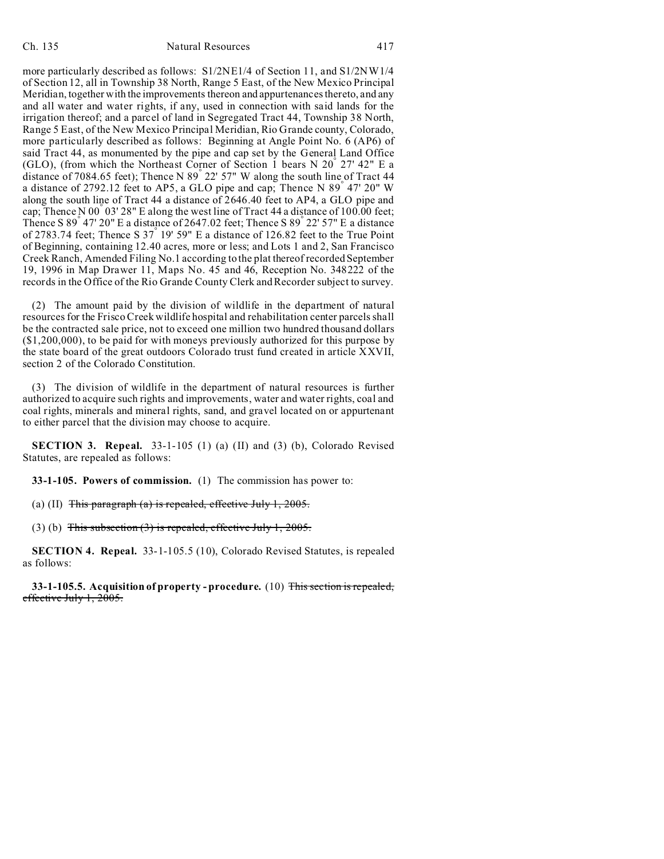more particularly described as follows: S1/2NE1/4 of Section 11, and S1/2NW1/4 of Section 12, all in Township 38 North, Range 5 East, of the New Mexico Principal Meridian, together with the improvements thereon and appurtenances thereto, and any and all water and water rights, if any, used in connection with said lands for the irrigation thereof; and a parcel of land in Segregated Tract 44, Township 38 North, Range 5 East, of the New Mexico Principal Meridian, Rio Grande county, Colorado, more particularly described as follows: Beginning at Angle Point No. 6 (AP6) of said Tract 44, as monumented by the pipe and cap set by the General Land Office (GLO), (from which the Northeast Corner of Section 1 bears N 20° 27' 42" E a distance of 7084.65 feet); Thence N 89° 22' 57" W along the south line of Tract 44 a distance of 2792.12 feet to AP5, a GLO pipe and cap; Thence N 89° 47' 20" W along the south line of Tract 44 a distance of 2646.40 feet to AP4, a GLO pipe and cap; Thence N 00  $\degree$  03' 28" E along the west line of Tract 44 a distance of 100.00 feet; Thence S 89° 47' 20" E a distance of 2647.02 feet; Thence S 89° 22' 57" E a distance of 2783.74 feet; Thence S  $37^{\degree}$  19' 59" E a distance of 126.82 feet to the True Point of Beginning, containing 12.40 acres, more or less; and Lots 1 and 2, San Francisco Creek Ranch, Amended Filing No.1 according to the plat thereof recorded September 19, 1996 in Map Drawer 11, Maps No. 45 and 46, Reception No. 348222 of the records in the Office of the Rio Grande County Clerk and Recorder subject to survey.

(2) The amount paid by the division of wildlife in the department of natural resources for the Frisco Creek wildlife hospital and rehabilitation center parcels shall be the contracted sale price, not to exceed one million two hundred thousand dollars (\$1,200,000), to be paid for with moneys previously authorized for this purpose by the state board of the great outdoors Colorado trust fund created in article XXVII, section 2 of the Colorado Constitution.

(3) The division of wildlife in the department of natural resources is further authorized to acquire such rights and improvements, water and water rights, coal and coal rights, minerals and mineral rights, sand, and gravel located on or appurtenant to either parcel that the division may choose to acquire.

**SECTION 3. Repeal.** 33-1-105 (1) (a) (II) and (3) (b), Colorado Revised Statutes, are repealed as follows:

**33-1-105. Powers of commission.** (1) The commission has power to:

(a) (II) This paragraph (a) is repealed, effective July 1,  $2005$ .

(3) (b) This subsection  $(3)$  is repealed, effective July 1, 2005.

**SECTION 4. Repeal.** 33-1-105.5 (10), Colorado Revised Statutes, is repealed as follows:

**33-1-105.5. Acquisition of property - procedure.** (10) This section is repealed, effective July 1, 2005.